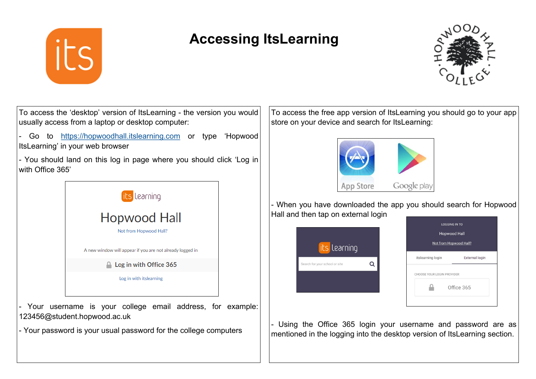

# **Accessing ItsLearning**



To access the 'desktop' version of ItsLearning - the version you would usually access from a laptop or desktop computer: Go to <https://hopwoodhall.itslearning.com> or type 'Hopwood ItsLearning' in your web browser - You should land on this log in page where you should click 'Log in with Office 365' its Learning **Hopwood Hall** Not from Hopwood Hall? A new window will appear if you are not already logged in  $\triangle$  Log in with Office 365 Log in with itslearning Your username is your college email address, for example:

123456@student.hopwood.ac.uk - Your password is your usual password for the college computers

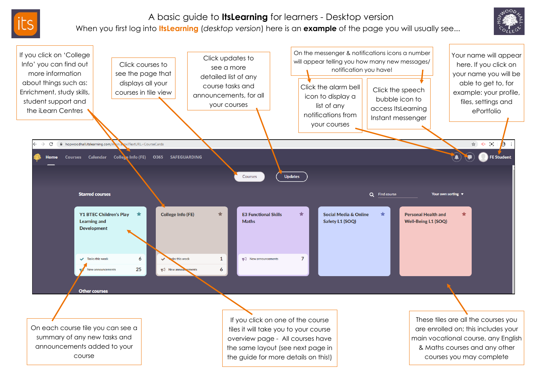

## A basic guide to **ItsLearning** for learners - Desktop version

### When you first log into **ItsLearning** (*desktop version*) here is an **example** of the page you will usually see...



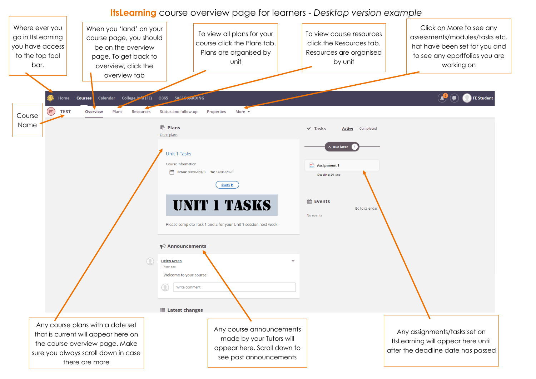#### **ItsLearning** course overview page for learners - *Desktop version example*

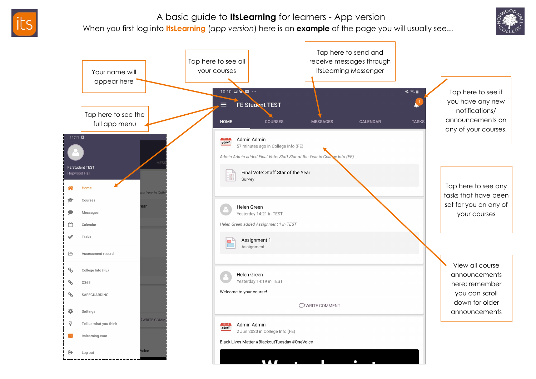

## A basic guide to **ItsLearning** for learners - App version

When you first log into **ItsLearning** (*app version*) here is an **example** of the page you will usually see...